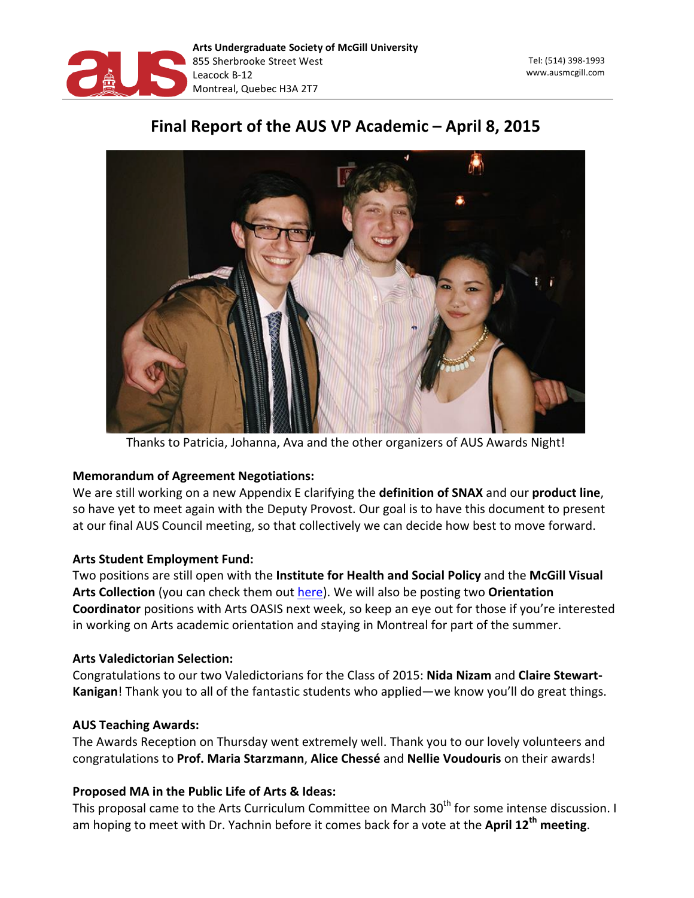

Tel: (514) 398-1993 www.ausmcgill.com 

# Final Report of the AUS VP Academic – April 8, 2015



Thanks to Patricia, Johanna, Ava and the other organizers of AUS Awards Night!

## **Memorandum of Agreement Negotiations:**

We are still working on a new Appendix E clarifying the definition of SNAX and our product line, so have yet to meet again with the Deputy Provost. Our goal is to have this document to present at our final AUS Council meeting, so that collectively we can decide how best to move forward.

## **Arts Student Employment Fund:**

Two positions are still open with the Institute for Health and Social Policy and the McGill Visual Arts Collection (you can check them out here). We will also be posting two Orientation **Coordinator** positions with Arts OASIS next week, so keep an eye out for those if you're interested in working on Arts academic orientation and staying in Montreal for part of the summer.

#### **Arts Valedictorian Selection:**

Congratulations to our two Valedictorians for the Class of 2015: Nida Nizam and Claire Stewart-Kanigan! Thank you to all of the fantastic students who applied—we know you'll do great things.

## **AUS Teaching Awards:**

The Awards Reception on Thursday went extremely well. Thank you to our lovely volunteers and congratulations to Prof. Maria Starzmann, Alice Chessé and Nellie Voudouris on their awards!

## Proposed MA in the Public Life of Arts & Ideas:

This proposal came to the Arts Curriculum Committee on March 30<sup>th</sup> for some intense discussion. I am hoping to meet with Dr. Yachnin before it comes back for a vote at the **April 12<sup>th</sup> meeting**.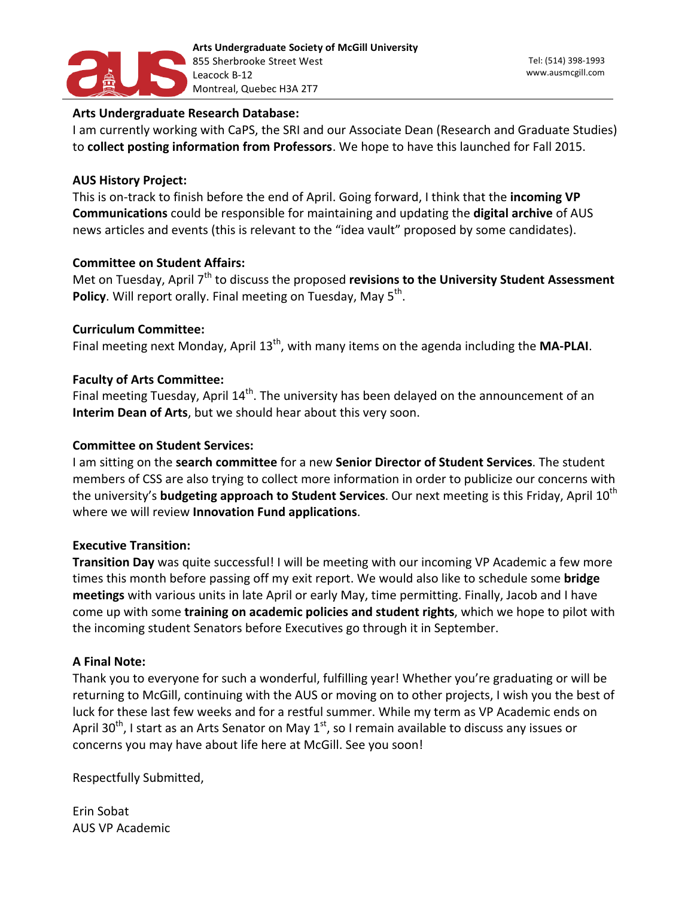

#### **Arts Undergraduate Research Database:**

I am currently working with CaPS, the SRI and our Associate Dean (Research and Graduate Studies) to **collect posting information from Professors**. We hope to have this launched for Fall 2015.

#### **AUS History Project:**

This is on-track to finish before the end of April. Going forward, I think that the **incoming VP Communications** could be responsible for maintaining and updating the digital archive of AUS news articles and events (this is relevant to the "idea vault" proposed by some candidates).

#### **Committee on Student Affairs:**

Met on Tuesday, April 7<sup>th</sup> to discuss the proposed revisions to the University Student Assessment **Policy**. Will report orally. Final meeting on Tuesday, May 5<sup>th</sup>.

#### **Curriculum 
 Committee:**

Final meeting next Monday, April 13<sup>th</sup>, with many items on the agenda including the MA-PLAI.

#### **Faculty of Arts Committee:**

Final meeting Tuesday, April 14<sup>th</sup>. The university has been delayed on the announcement of an **Interim Dean of Arts**, but we should hear about this very soon.

#### **Committee on Student Services:**

I am sitting on the **search committee** for a new **Senior Director of Student Services**. The student members of CSS are also trying to collect more information in order to publicize our concerns with the university's **budgeting approach to Student Services**. Our next meeting is this Friday, April 10<sup>th</sup> where we will review **Innovation Fund applications**.

#### **Executive Transition:**

**Transition Day** was quite successful! I will be meeting with our incoming VP Academic a few more times this month before passing off my exit report. We would also like to schedule some **bridge** meetings with various units in late April or early May, time permitting. Finally, Jacob and I have come up with some training on academic policies and student rights, which we hope to pilot with the incoming student Senators before Executives go through it in September.

#### **A Final Note:**

Thank you to everyone for such a wonderful, fulfilling year! Whether you're graduating or will be returning to McGill, continuing with the AUS or moving on to other projects, I wish you the best of luck for these last few weeks and for a restful summer. While my term as VP Academic ends on April 30<sup>th</sup>, I start as an Arts Senator on May 1<sup>st</sup>, so I remain available to discuss any issues or concerns you may have about life here at McGill. See you soon!

Respectfully Submitted,

Erin 
 Sobat **AUS VP Academic**